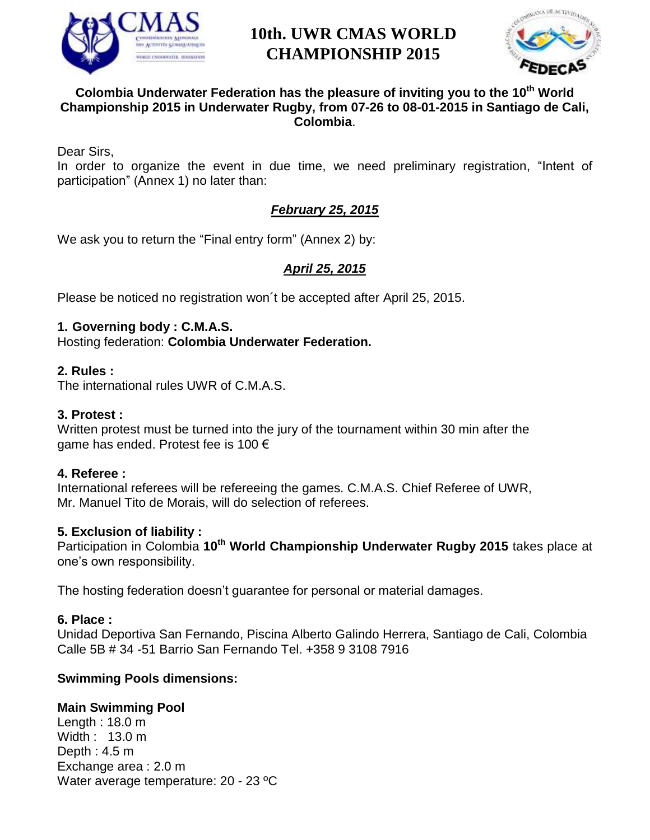



### **Colombia Underwater Federation has the pleasure of inviting you to the 10th World Championship 2015 in Underwater Rugby, from 07-26 to 08-01-2015 in Santiago de Cali, Colombia**.

Dear Sirs,

In order to organize the event in due time, we need preliminary registration, "Intent of participation" (Annex 1) no later than:

## *February 25, 2015*

We ask you to return the "Final entry form" (Annex 2) by:

# *April 25, 2015*

Please be noticed no registration won´t be accepted after April 25, 2015.

### **1. Governing body : C.M.A.S.**

Hosting federation: **Colombia Underwater Federation.**

### **2. Rules :**

The international rules UWR of C.M.A.S.

### **3. Protest :**

Written protest must be turned into the jury of the tournament within 30 min after the game has ended. Protest fee is 100 €

### **4. Referee :**

International referees will be refereeing the games. C.M.A.S. Chief Referee of UWR, Mr. Manuel Tito de Morais, will do selection of referees.

### **5. Exclusion of liability :**

Participation in Colombia **10th World Championship Underwater Rugby 2015** takes place at one's own responsibility.

The hosting federation doesn't guarantee for personal or material damages.

### **6. Place :**

Unidad Deportiva San Fernando, Piscina Alberto Galindo Herrera, Santiago de Cali, Colombia Calle 5B # 34 -51 Barrio San Fernando Tel. +358 9 3108 7916

### **Swimming Pools dimensions:**

### **Main Swimming Pool**

Length : 18.0 m Width : 13.0 m Depth : 4.5 m Exchange area : 2.0 m Water average temperature: 20 - 23 ºC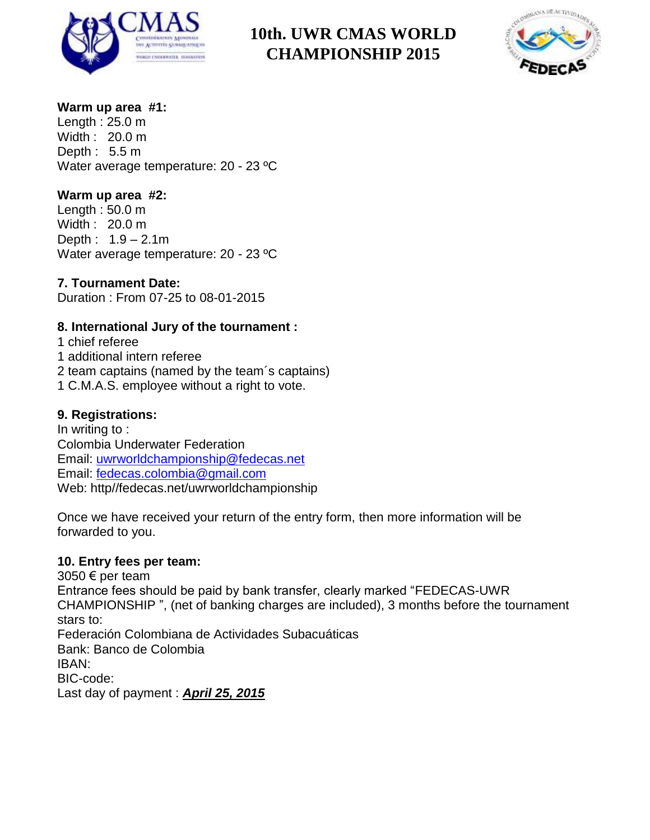



### **Warm up area #1:**

Length : 25.0 m Width : 20.0 m Depth : 5.5 m Water average temperature: 20 - 23 °C

### **Warm up area #2:**

Length : 50.0 m Width : 20.0 m Depth : 1.9 – 2.1m Water average temperature: 20 - 23 °C

# **7. Tournament Date:**

Duration : From 07-25 to 08-01-2015

### **8. International Jury of the tournament :**

1 chief referee 1 additional intern referee 2 team captains (named by the team´s captains) 1 C.M.A.S. employee without a right to vote.

### **9. Registrations:**

In writing to : Colombia Underwater Federation Email: [uwrworldchampionship@fedecas.net](mailto:uwrworldchampionship@fedecas.net) Email: [fedecas.colombia@gmail.com](mailto:fedecas.colombia@gmail.com) Web: http//fedecas.net/uwrworldchampionship

Once we have received your return of the entry form, then more information will be forwarded to you.

### **10. Entry fees per team:**

3050 € per team Entrance fees should be paid by bank transfer, clearly marked "FEDECAS-UWR CHAMPIONSHIP ", (net of banking charges are included), 3 months before the tournament stars to: Federación Colombiana de Actividades Subacuáticas Bank: Banco de Colombia IBAN: BIC-code: Last day of payment : *April 25, 2015*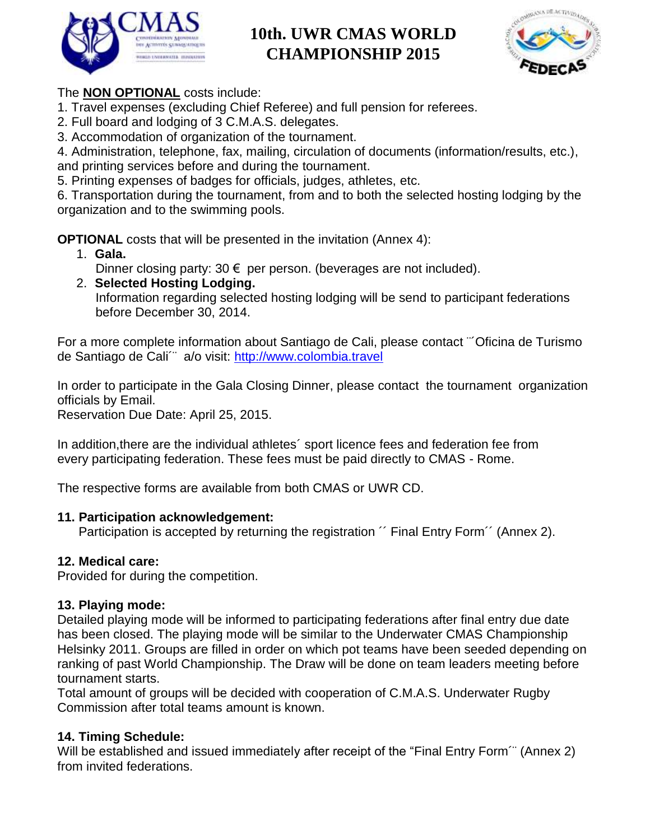



# The **NON OPTIONAL** costs include:

1. Travel expenses (excluding Chief Referee) and full pension for referees.

- 2. Full board and lodging of 3 C.M.A.S. delegates.
- 3. Accommodation of organization of the tournament.

4. Administration, telephone, fax, mailing, circulation of documents (information/results, etc.), and printing services before and during the tournament.

5. Printing expenses of badges for officials, judges, athletes, etc.

6. Transportation during the tournament, from and to both the selected hosting lodging by the organization and to the swimming pools.

**OPTIONAL** costs that will be presented in the invitation (Annex 4):

- 1. **Gala.** 
	- Dinner closing party:  $30 \in \mathsf{per}$  per person. (beverages are not included).
- 2. **Selected Hosting Lodging.** Information regarding selected hosting lodging will be send to participant federations before December 30, 2014.

For a more complete information about Santiago de Cali, please contact ¨´Oficina de Turismo de Santiago de Cali´¨ a/o visit: [http://www.colombia.travel](http://www.colombia.travel/)

In order to participate in the Gala Closing Dinner, please contact the tournament organization officials by Email.

Reservation Due Date: April 25, 2015.

In addition,there are the individual athletes´ sport licence fees and federation fee from every participating federation. These fees must be paid directly to CMAS - Rome.

The respective forms are available from both CMAS or UWR CD.

## **11. Participation acknowledgement:**

Participation is accepted by returning the registration  $\degree$  Final Entry Form  $\degree$  (Annex 2).

# **12. Medical care:**

Provided for during the competition.

## **13. Playing mode:**

Detailed playing mode will be informed to participating federations after final entry due date has been closed. The playing mode will be similar to the Underwater CMAS Championship Helsinky 2011. Groups are filled in order on which pot teams have been seeded depending on ranking of past World Championship. The Draw will be done on team leaders meeting before tournament starts.

Total amount of groups will be decided with cooperation of C.M.A.S. Underwater Rugby Commission after total teams amount is known.

# **14. Timing Schedule:**

Will be established and issued immediately after receipt of the "Final Entry Form" (Annex 2) from invited federations.